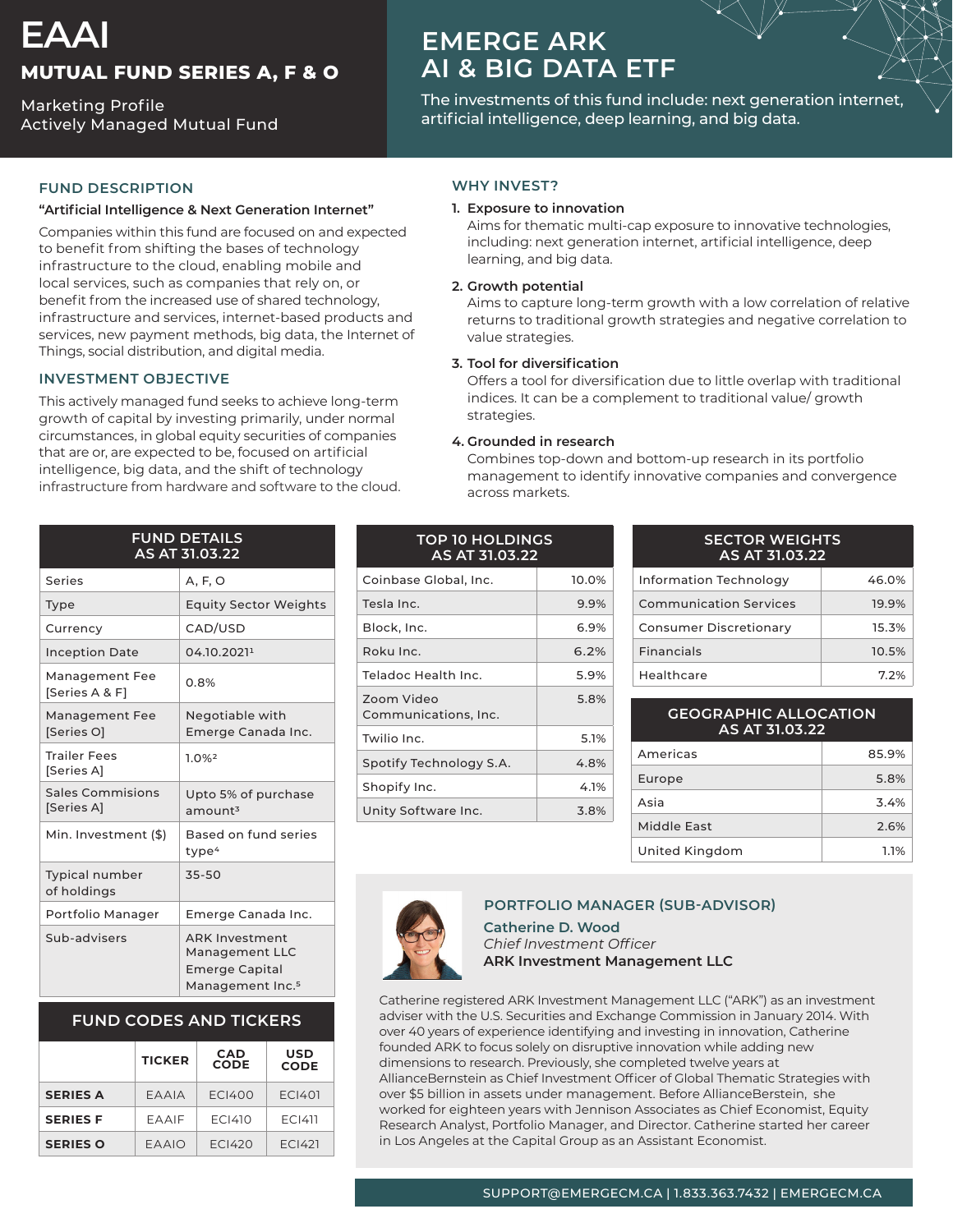# **EAAI MUTUAL FUND SERIES A, F & O**

**Marketing Profile** Actively Managed Mutual Fund

# **EMERGE ARK AI & BIG DATA ETF**

The investments of this fund include: next generation internet, artificial intelligence, deep learning, and big data.

### **FUND DESCRIPTION**

#### "Artificial Intelligence & Next Generation Internet"

Companies within this fund are focused on and expected to benefit from shifting the bases of technology infrastructure to the cloud, enabling mobile and local services, such as companies that rely on, or benefit from the increased use of shared technology. infrastructure and services, internet-based products and services, new payment methods, big data, the Internet of Things, social distribution, and digital media.

### **INVESTMENT OBJECTIVE**

This actively managed fund seeks to achieve long-term growth of capital by investing primarily, under normal circumstances, in global equity securities of companies that are or, are expected to be, focused on artificial intelligence, big data, and the shift of technology infrastructure from hardware and software to the cloud.

| <b>FUND DETAILS</b><br>AS AT 31.03.22 |                                                                                                  |  |
|---------------------------------------|--------------------------------------------------------------------------------------------------|--|
| Series                                | A, F, O                                                                                          |  |
| Type                                  | <b>Equity Sector Weights</b>                                                                     |  |
| Currency                              | CAD/USD                                                                                          |  |
| <b>Inception Date</b>                 | 04.10.20211                                                                                      |  |
| Management Fee<br>[Series A & F]      | 0.8%                                                                                             |  |
| Management Fee<br>[Series O]          | Negotiable with<br>Emerge Canada Inc.                                                            |  |
| <b>Trailer Fees</b><br>[Series A]     | 1.0%2                                                                                            |  |
| <b>Sales Commisions</b><br>[Series A] | Upto 5% of purchase<br>amoun <sup>3</sup>                                                        |  |
| Min. Investment (\$)                  | Based on fund series<br>type <sup>4</sup>                                                        |  |
| <b>Typical number</b><br>of holdings  | 35-50                                                                                            |  |
| Portfolio Manager                     | Emerge Canada Inc.                                                                               |  |
| Sub-advisers                          | <b>ARK Investment</b><br>Management LLC<br><b>Emerge Capital</b><br>Management Inc. <sup>5</sup> |  |

## **FUND CODES AND TICKERS**

|                 | <b>TICKER</b> | <b>CAD</b><br><b>CODE</b> | <b>USD</b><br><b>CODE</b> |
|-----------------|---------------|---------------------------|---------------------------|
| <b>SERIES A</b> | EAAIA         | <b>ECI400</b>             | ECI401                    |
| <b>SERIES F</b> | EAAIF         | FCI410                    | EC1411                    |
| <b>SERIES O</b> | EAAIO         | FCI420                    | FCI421                    |

#### **WHY INVEST?**

#### **1. Exposure to innovation**

Aims for thematic multi-cap exposure to innovative technologies, including: next generation internet, artificial intelligence, deep learning, and big data.

#### **potential Growth 2.**

Aims to capture long-term growth with a low correlation of relative returns to traditional growth strategies and negative correlation to value strategies.

#### **3.** Tool for diversification

Offers a tool for diversification due to little overlap with traditional indices. It can be a complement to traditional value/growth strategies.

#### **4.** Grounded in research

Combines top-down and bottom-up research in its portfolio management to identify innovative companies and convergence across markets.

| <b>TOP 10 HOLDINGS</b><br>AS AT 31.03.22 |       |  |  |  |
|------------------------------------------|-------|--|--|--|
| Coinbase Global, Inc.                    | 10.0% |  |  |  |
| Tesla Inc.                               | 9.9%  |  |  |  |
| Block, Inc.                              | 6.9%  |  |  |  |
| Roku Inc.                                | 6.2%  |  |  |  |
| Teladoc Health Inc.                      | 5.9%  |  |  |  |
| Zoom Video<br>Communications, Inc.       | 5.8%  |  |  |  |
| Twilio Inc.                              | 5.1%  |  |  |  |
| Spotify Technology S.A.                  | 4.8%  |  |  |  |
| Shopify Inc.                             | 4.1%  |  |  |  |
| Unity Software Inc.                      | 3.8%  |  |  |  |

| <b>SECTOR WEIGHTS</b><br>AS AT 31.03.22 |       |  |  |
|-----------------------------------------|-------|--|--|
| Information Technology                  | 46.0% |  |  |
| <b>Communication Services</b>           | 19.9% |  |  |
| Consumer Discretionary                  | 15.3% |  |  |
| <b>Financials</b>                       | 10.5% |  |  |
| Healthcare                              | 7.2%  |  |  |

### **GEOGRAPHIC ALLOCATION 31.03.22 AT AS**

| Americas       | 85.9% |
|----------------|-------|
| Europe         | 5.8%  |
| Asia           | 3.4%  |
| Middle East    | 2.6%  |
| United Kingdom | 1.1%  |



#### **PORTFOLIO MANAGER (SUB-ADVISOR)**

**Catherine D. Wood** *Officer Investment Chief* **ARK Investment Management LLC** 

Catherine registered ARK Investment Management LLC ("ARK") as an investment adviser with the U.S. Securities and Exchange Commission in January 2014. With over 40 years of experience identifying and investing in innovation, Catherine founded ARK to focus solely on disruptive innovation while adding new dimensions to research. Previously, she completed twelve years at AllianceBernstein as Chief Investment Officer of Global Thematic Strategies with over \$5 billion in assets under management. Before AllianceBerstein, she worked for eighteen years with Jennison Associates as Chief Economist, Equity Research Analyst, Portfolio Manager, and Director. Catherine started her career in Los Angeles at the Capital Group as an Assistant Economist.